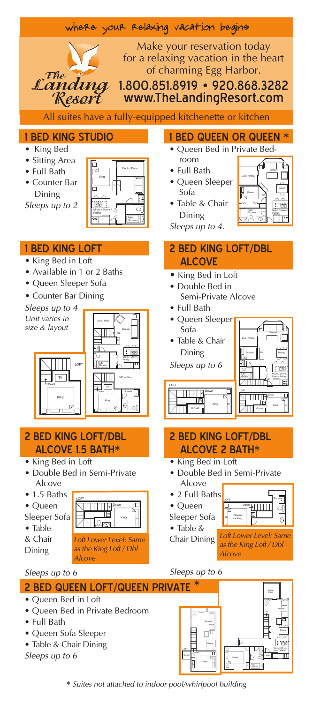| where your relaxing vacation begins                                                                                                                                                                                                                                                                                                                                                                                                                                                                                                                                                                                                              |                                                                                                                                                                                                                                                                                                                                                           |
|--------------------------------------------------------------------------------------------------------------------------------------------------------------------------------------------------------------------------------------------------------------------------------------------------------------------------------------------------------------------------------------------------------------------------------------------------------------------------------------------------------------------------------------------------------------------------------------------------------------------------------------------------|-----------------------------------------------------------------------------------------------------------------------------------------------------------------------------------------------------------------------------------------------------------------------------------------------------------------------------------------------------------|
| Make your reservation today<br>for a relaxing vacation in the heart<br>of charming Egg Harbor.<br>The<br>Landina<br>1.800.851.8919 • 920.868.3282<br>Resert<br>www.TheLandingResort.com<br>All suites have a fully-equipped kitchenette or kitchen                                                                                                                                                                                                                                                                                                                                                                                               |                                                                                                                                                                                                                                                                                                                                                           |
| <b>1 BED KING STUDIO</b><br>King Bed<br>• Sitting Area<br>Deck / Patio<br>• Full Bath<br>• Counter Bar<br>Dining<br>$\Box$<br>Sleeps up to 2                                                                                                                                                                                                                                                                                                                                                                                                                                                                                                     | 1 BED QUEEN OR QUEEN *<br>· Queen Bed in Private Bed-<br>room<br>• Full Bath<br>Deck / Pati<br>• Queen Sleeper<br>Sofa<br>• Table & Chair<br>ं क्य<br>Dining<br>$\overline{\Omega}$<br>Sleeps up to 4.                                                                                                                                                    |
| <b>1 BED KING LOFT</b><br>• King Bed in Loft<br>• Available in 1 or 2 Baths<br>· Queen Sleeper Sofa<br>• Counter Bar Dining<br>Sleeps up to 4<br>Unit varies in<br>size & layout<br>ЭΙг<br>: co<br>LOFT<br>$\overline{\mathsf{v}}$<br>LOFT w/ Batt<br>Down<br>King<br>θ                                                                                                                                                                                                                                                                                                                                                                          | <b>2 BED KING LOFT/DBL</b><br><b>ALCOVE</b><br>• King Bed in Loft<br>• Double Bed in<br>Semi-Private Alcove<br>• Full Bath<br>· Queen Sleeper<br>Sofa<br>• Table & Chair<br>Dining<br>Sleeps up to 6<br>œ<br>LOFT                                                                                                                                         |
| <b>2 BED KING LOFT/DBL</b><br><b>ALCOVE 1.5 BATH*</b><br>• King Bed in Loft<br>· Double Bed in Semi-Private<br>Alcove<br>$\bullet$ 1.5 Baths<br>LOFT<br>$\begin{array}{c} \sqrt{2} & \text{if } \sqrt{2} \leq 1 \\ \sqrt{2} & \text{if } \sqrt{2} \leq 1 \end{array}$<br>◻<br>$\bullet$ Queen<br><b>ITV</b><br>Sleeper Sofa<br>King<br>$\bullet$ Table<br>& Chair<br>Loft Lower Level: Same<br>as the King Loft / Dbl<br>Dining<br>Alcove<br>Sleeps up to 6<br><b>2 BED QUEEN LOFT/QUEEN PRIVATE</b><br>• Queen Bed in Loft<br>• Queen Bed in Private Bedroom<br>• Full Bath<br>· Queen Sofa Sleeper<br>• Table & Chair Dining<br>Sleeps up to 6 | <b>2 BED KING LOFT/DBL</b><br><b>ALCOVE 2 BATH*</b><br>• King Bed in Loft<br>• Double Bed in Semi-Private<br>Alcove<br>• 2 Full Baths<br>$\bullet$ Queen<br>M<br>Sleeper Sofa<br>Queen<br>or King<br>Θ<br>• Table $\&$<br>Loft Lower Level: Same<br>Chair Dining<br>as the King Loft / Dbl<br><b>Alcove</b><br>Sleeps up to 6<br>∗<br>Deck/<br>Patio<br>D |

\* Suites not attached to indoor pool/whirlpool building